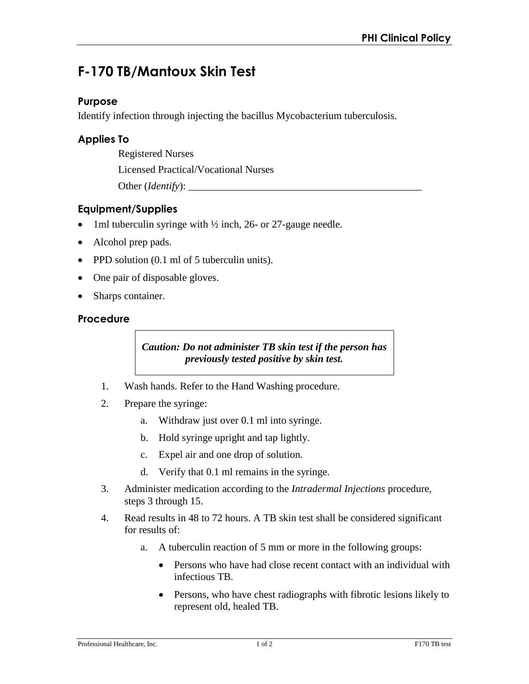# **F-170 TB/Mantoux Skin Test**

#### **Purpose**

Identify infection through injecting the bacillus Mycobacterium tuberculosis.

### **Applies To**

Registered Nurses

Licensed Practical/Vocational Nurses

Other (*Identify*):

## **Equipment/Supplies**

- 1ml tuberculin syringe with  $\frac{1}{2}$  inch, 26- or 27-gauge needle.
- Alcohol prep pads.
- PPD solution (0.1 ml of 5 tuberculin units).
- One pair of disposable gloves.
- Sharps container.

#### **Procedure**

*Caution: Do not administer TB skin test if the person has previously tested positive by skin test.* 

- 1. Wash hands. Refer to the Hand Washing procedure.
- 2. Prepare the syringe:
	- a. Withdraw just over 0.1 ml into syringe.
	- b. Hold syringe upright and tap lightly.
	- c. Expel air and one drop of solution.
	- d. Verify that 0.1 ml remains in the syringe.
- 3. Administer medication according to the *Intradermal Injections* procedure, steps 3 through 15.
- 4. Read results in 48 to 72 hours. A TB skin test shall be considered significant for results of:
	- a. A tuberculin reaction of 5 mm or more in the following groups:
		- Persons who have had close recent contact with an individual with infectious TB.
		- Persons, who have chest radiographs with fibrotic lesions likely to represent old, healed TB.